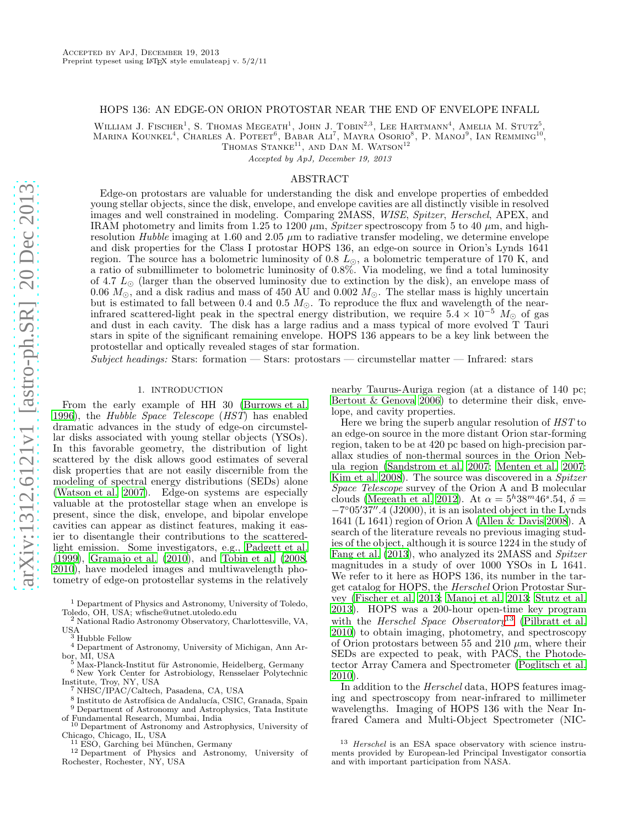## HOPS 136: AN EDGE-ON ORION PROTOSTAR NEAR THE END OF ENVELOPE INFALL

WILLIAM J. FISCHER<sup>1</sup>, S. THOMAS MEGEATH<sup>1</sup>, JOHN J. TOBIN<sup>2,3</sup>, LEE HARTMANN<sup>4</sup>, AMELIA M. STUTZ<sup>5</sup>, Marina Kounkel<sup>4</sup>, Charles A. Poteet<sup>6</sup>, Babar Ali<sup>7</sup>, Mayra Osorio<sup>8</sup>, P. Manoj<sup>9</sup>, Ian Remming<sup>10'</sup>,

THOMAS STANKE<sup>11</sup>, AND DAN M. WATSON<sup>12</sup>

Accepted by ApJ, December 19, 2013

# ABSTRACT

Edge-on protostars are valuable for understanding the disk and envelope properties of embedded young stellar objects, since the disk, envelope, and envelope cavities are all distinctly visible in resolved images and well constrained in modeling. Comparing 2MASS, WISE, Spitzer, Herschel, APEX, and IRAM photometry and limits from 1.25 to 1200  $\mu$ m, *Spitzer* spectroscopy from 5 to 40  $\mu$ m, and highresolution Hubble imaging at 1.60 and 2.05  $\mu$ m to radiative transfer modeling, we determine envelope and disk properties for the Class I protostar HOPS 136, an edge-on source in Orion's Lynds 1641 region. The source has a bolometric luminosity of 0.8  $L_{\odot}$ , a bolometric temperature of 170 K, and a ratio of submillimeter to bolometric luminosity of 0.8%. Via modeling, we find a total luminosity of 4.7  $L_{\odot}$  (larger than the observed luminosity due to extinction by the disk), an envelope mass of 0.06  $M_{\odot}$ , and a disk radius and mass of 450 AU and 0.002  $M_{\odot}$ . The stellar mass is highly uncertain but is estimated to fall between 0.4 and 0.5  $M_{\odot}$ . To reproduce the flux and wavelength of the nearinfrared scattered-light peak in the spectral energy distribution, we require  $5.4 \times 10^{-5}$  M<sub>☉</sub> of gas and dust in each cavity. The disk has a large radius and a mass typical of more evolved T Tauri stars in spite of the significant remaining envelope. HOPS 136 appears to be a key link between the protostellar and optically revealed stages of star formation.

 $Subject\ headings: Stars: formation—Stars: protostars—circumstellar matter—Infrared: stars$ 

## 1. INTRODUCTION

From the early example of HH 30 [\(Burrows et al.](#page-10-0) [1996\)](#page-10-0), the Hubble Space Telescope (HST) has enabled dramatic advances in the study of edge-on circumstellar disks associated with young stellar objects (YSOs). In this favorable geometry, the distribution of light scattered by the disk allows good estimates of several disk properties that are not easily discernible from the modeling of spectral energy distributions (SEDs) alone [\(Watson et al. 2007\)](#page-11-0). Edge-on systems are especially valuable at the protostellar stage when an envelope is present, since the disk, envelope, and bipolar envelope cavities can appear as distinct features, making it easier to disentangle their contributions to the scatteredlight emission. Some investigators, e.g., [Padgett et al.](#page-11-1) [\(1999\)](#page-11-1), [Gramajo et al. \(2010\)](#page-10-1), and [Tobin et al. \(2008,](#page-11-2) [2010\)](#page-11-3), have modeled images and multiwavelength photometry of edge-on protostellar systems in the relatively

<sup>4</sup> Department of Astronomy, University of Michigan, Ann Arbor, MI, USA

<sup>5</sup> Max-Planck-Institut für Astronomie, Heidelberg, Germany

nearby Taurus-Auriga region (at a distance of 140 pc; [Bertout & Genova 2006\)](#page-10-2) to determine their disk, envelope, and cavity properties.

Here we bring the superb angular resolution of HST to an edge-on source in the more distant Orion star-forming region, taken to be at 420 pc based on high-precision parallax studies of non-thermal sources in the Orion Nebula region [\(Sandstrom et al. 2007;](#page-11-4) [Menten et al. 2007](#page-11-5); [Kim et al. 2008\)](#page-11-6). The source was discovered in a Spitzer Space Telescope survey of the Orion A and B molecular clouds [\(Megeath et al. 2012\)](#page-11-7). At  $\alpha = 5^h 38^m 46^s.54$ ,  $\delta =$  $-7^{\circ}05'37''.$  (J2000), it is an isolated object in the Lynds 1641 (L 1641) region of Orion A [\(Allen & Davis 2008\)](#page-10-3). A search of the literature reveals no previous imaging studies of the object, although it is source 1224 in the study of [Fang et al. \(2013](#page-10-4)), who analyzed its 2MASS and Spitzer magnitudes in a study of over 1000 YSOs in L 1641. We refer to it here as HOPS 136, its number in the target catalog for HOPS, the Herschel Orion Protostar Survey [\(Fischer et al. 2013;](#page-10-5) [Manoj et al. 2013](#page-11-8); [Stutz et al.](#page-11-9) [2013\)](#page-11-9). HOPS was a 200-hour open-time key program with the *Herschel Space Observatory*<sup>[13](#page-0-0)</sup> [\(Pilbratt et al.](#page-11-10) [2010\)](#page-11-10) to obtain imaging, photometry, and spectroscopy of Orion protostars between 55 and 210  $\mu$ m, where their SEDs are expected to peak, with PACS, the Photodetector Array Camera and Spectrometer [\(Poglitsch et al.](#page-11-11) [2010\)](#page-11-11).

In addition to the Herschel data, HOPS features imaging and spectroscopy from near-infrared to millimeter wavelengths. Imaging of HOPS 136 with the Near Infrared Camera and Multi-Object Spectrometer (NIC-

<sup>1</sup> Department of Physics and Astronomy, University of Toledo, Toledo, OH, USA; wfische@utnet.utoledo.edu

<sup>2</sup> National Radio Astronomy Observatory, Charlottesville, VA, USA <sup>3</sup> Hubble Fellow

<sup>6</sup> New York Center for Astrobiology, Rensselaer Polytechnic Institute, Troy, NY, USA

<sup>7</sup> NHSC/IPAC/Caltech, Pasadena, CA, USA

 $^8$ Instituto de Astrofísica de Andalucía, CSIC, Granada, Spain  $^9$  Department of Astronomy and Astrophysics, Tata Institute  $\,$ of Fundamental Research, Mumbai, India

<sup>10</sup> Department of Astronomy and Astrophysics, University of Chicago, Chicago, IL, USA

 $^{11}$  ESO, Garching bei München, Germany

<sup>12</sup> Department of Physics and Astronomy, University of Rochester, Rochester, NY, USA

<span id="page-0-0"></span> $13$  Herschel is an ESA space observatory with science instruments provided by European-led Principal Investigator consortia and with important participation from NASA.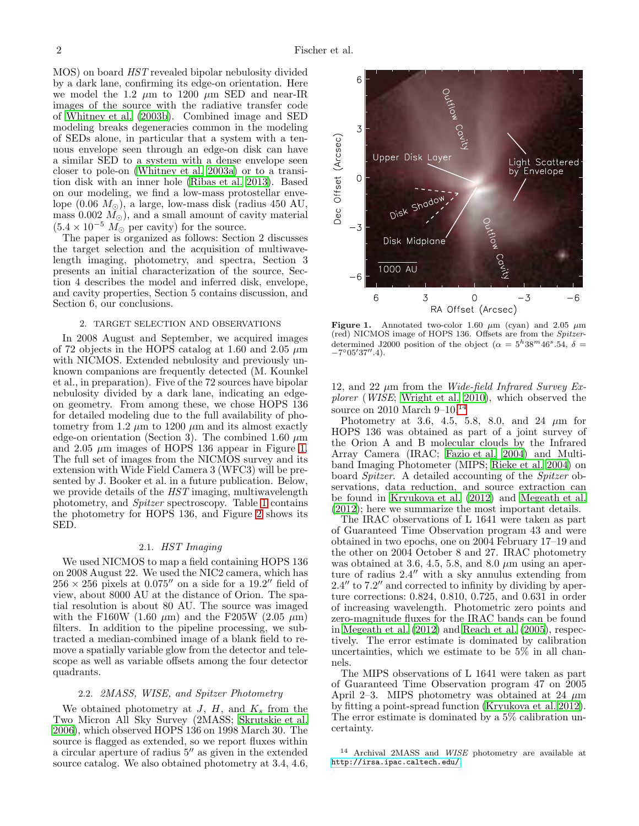MOS) on board HST revealed bipolar nebulosity divided by a dark lane, confirming its edge-on orientation. Here we model the 1.2  $\mu$ m to 1200  $\mu$ m SED and near-IR images of the source with the radiative transfer code of [Whitney et al. \(2003b\)](#page-11-12). Combined image and SED modeling breaks degeneracies common in the modeling of SEDs alone, in particular that a system with a tenuous envelope seen through an edge-on disk can have a similar SED to a system with a dense envelope seen closer to pole-on [\(Whitney et al. 2003a\)](#page-11-13) or to a transition disk with an inner hole [\(Ribas et al. 2013\)](#page-11-14). Based on our modeling, we find a low-mass protostellar envelope  $(0.06 M_{\odot})$ , a large, low-mass disk (radius 450 AU, mass 0.002  $M_{\odot}$ ), and a small amount of cavity material  $(5.4 \times 10^{-5} M_{\odot}$  per cavity) for the source.

The paper is organized as follows: Section 2 discusses the target selection and the acquisition of multiwavelength imaging, photometry, and spectra, Section 3 presents an initial characterization of the source, Section 4 describes the model and inferred disk, envelope, and cavity properties, Section 5 contains discussion, and Section 6, our conclusions.

#### 2. TARGET SELECTION AND OBSERVATIONS

In 2008 August and September, we acquired images of 72 objects in the HOPS catalog at 1.60 and 2.05  $\mu$ m with NICMOS. Extended nebulosity and previously unknown companions are frequently detected (M. Kounkel et al., in preparation). Five of the 72 sources have bipolar nebulosity divided by a dark lane, indicating an edgeon geometry. From among these, we chose HOPS 136 for detailed modeling due to the full availability of photometry from 1.2  $\mu$ m to 1200  $\mu$ m and its almost exactly edge-on orientation (Section 3). The combined 1.60  $\mu$ m and 2.05  $\mu$ m images of HOPS 136 appear in Figure [1.](#page-1-0) The full set of images from the NICMOS survey and its extension with Wide Field Camera 3 (WFC3) will be presented by J. Booker et al. in a future publication. Below, we provide details of the  $HST$  imaging, multiwavelength photometry, and Spitzer spectroscopy. Table [1](#page-2-0) contains the photometry for HOPS 136, and Figure [2](#page-2-1) shows its SED.

### 2.1. HST Imaging

We used NICMOS to map a field containing HOPS 136 on 2008 August 22. We used the NIC2 camera, which has  $256 \times 256$  pixels at  $0.075''$  on a side for a  $19.2''$  field of view, about 8000 AU at the distance of Orion. The spatial resolution is about 80 AU. The source was imaged with the F160W (1.60  $\mu$ m) and the F205W (2.05  $\mu$ m) filters. In addition to the pipeline processing, we subtracted a median-combined image of a blank field to remove a spatially variable glow from the detector and telescope as well as variable offsets among the four detector quadrants.

## 2.2. 2MASS, WISE, and Spitzer Photometry

We obtained photometry at  $J, H$ , and  $K_s$  from the Two Micron All Sky Survey (2MASS; [Skrutskie et al.](#page-11-15) [2006\)](#page-11-15), which observed HOPS 136 on 1998 March 30. The source is flagged as extended, so we report fluxes within a circular aperture of radius 5′′ as given in the extended source catalog. We also obtained photometry at 3.4, 4.6,



<span id="page-1-0"></span>Figure 1. Annotated two-color 1.60  $\mu$ m (cyan) and 2.05  $\mu$ m (red) NICMOS image of HOPS 136. Offsets are from the Spitzerdetermined J2000 position of the object  $(\alpha = 5^h38^m46^s.54, \delta =$  $-7^{\circ}05'37''.4$ ).

12, and 22  $\mu$ m from the *Wide-field Infrared Survey Ex*plorer (WISE; [Wright et al. 2010\)](#page-11-16), which observed the source on 2010 March  $9-10^{14}$  $9-10^{14}$  $9-10^{14}$ 

Photometry at 3.6, 4.5, 5.8, 8.0, and 24  $\mu$ m for HOPS 136 was obtained as part of a joint survey of the Orion A and B molecular clouds by the Infrared Array Camera (IRAC; [Fazio et al. 2004\)](#page-10-6) and Multiband Imaging Photometer (MIPS; [Rieke et al. 2004](#page-11-17)) on board Spitzer. A detailed accounting of the Spitzer observations, data reduction, and source extraction can be found in [Kryukova et al. \(2012](#page-11-18)) and [Megeath et al.](#page-11-7) [\(2012\)](#page-11-7); here we summarize the most important details.

The IRAC observations of L 1641 were taken as part of Guaranteed Time Observation program 43 and were obtained in two epochs, one on 2004 February 17–19 and the other on 2004 October 8 and 27. IRAC photometry was obtained at 3.6, 4.5, 5.8, and 8.0  $\mu$ m using an aperture of radius 2.4′′ with a sky annulus extending from 2.4′′ to 7.2′′ and corrected to infinity by dividing by aperture corrections: 0.824, 0.810, 0.725, and 0.631 in order of increasing wavelength. Photometric zero points and zero-magnitude fluxes for the IRAC bands can be found in [Megeath et al. \(2012](#page-11-7)) and [Reach et al. \(2005](#page-11-19)), respectively. The error estimate is dominated by calibration uncertainties, which we estimate to be 5% in all channels.

The MIPS observations of L 1641 were taken as part of Guaranteed Time Observation program 47 on 2005 April 2–3. MIPS photometry was obtained at 24  $\mu$ m by fitting a point-spread function [\(Kryukova et al. 2012](#page-11-18)). The error estimate is dominated by a 5% calibration uncertainty.

<span id="page-1-1"></span><sup>14</sup> Archival 2MASS and WISE photometry are available at <http://irsa.ipac.caltech.edu/>.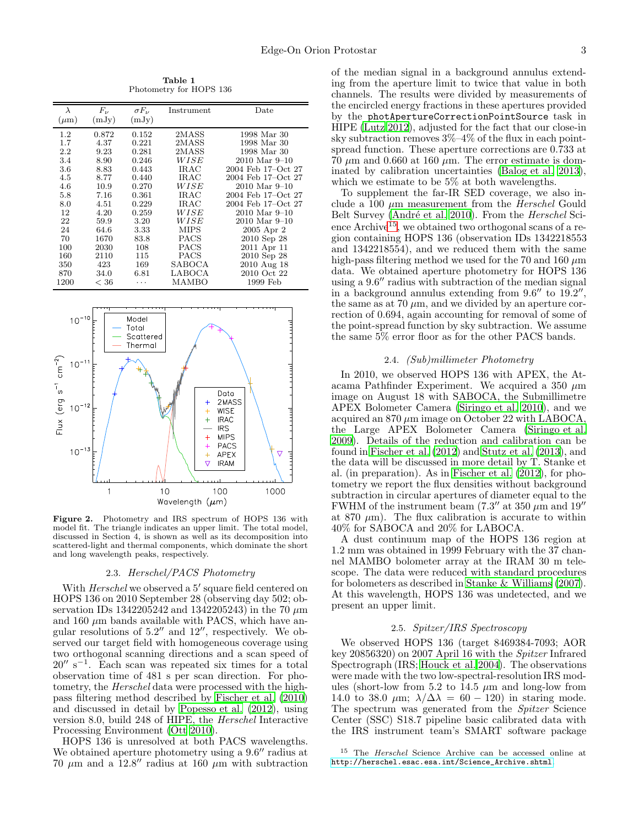Table 1 Photometry for HOPS 136

<span id="page-2-0"></span>

| $\lambda$ | $F_{\nu}$ | $\sigma F_{\nu}$ | Instrument  | Date               |
|-----------|-----------|------------------|-------------|--------------------|
| $(\mu m)$ | (mJy)     | (mJy)            |             |                    |
| $1.2\,$   | 0.872     | 0.152            | 2MASS       | 1998 Mar 30        |
| 1.7       | 4.37      | 0.221            | 2MASS       | 1998 Mar 30        |
| 2.2       | 9.23      | 0.281            | 2MASS       | 1998 Mar 30        |
| 3.4       | 8.90      | 0.246            | WISE        | $2010$ Mar $9-10$  |
| 3.6       | 8.83      | 0.443            | IRAC        | 2004 Feb 17-Oct 27 |
| 4.5       | 8.77      | 0.440            | IRAC        | 2004 Feb 17-Oct 27 |
| 4.6       | 10.9      | 0.270            | WISE        | $2010$ Mar $9-10$  |
| 5.8       | 7.16      | 0.361            | IRAC        | 2004 Feb 17-Oct 27 |
| 8.0       | 4.51      | 0.229            | IRAC        | 2004 Feb 17-Oct 27 |
| 12        | 4.20      | 0.259            | WISE        | $2010$ Mar $9-10$  |
| 22        | 59.9      | 3.20             | WISE        | $2010$ Mar $9-10$  |
| 24        | 64.6      | 3.33             | <b>MIPS</b> | 2005 Apr 2         |
| 70        | 1670      | 83.8             | PACS        | 2010 Sep 28        |
| 100       | 2030      | 108              | PACS        | 2011 Apr 11        |
| 160       | 2110      | 115              | PACS        | 2010 Sep 28        |
| 350       | 423       | 169              | SABOCA      | 2010 Aug 18        |
| 870       | 34.0      | 6.81             | LABOCA      | 2010 Oct 22        |
| 1200      | < 36      | .                | MAMBO       | 1999 Feb           |



Figure 2. Photometry and IRS spectrum of HOPS 136 with model fit. The triangle indicates an upper limit. The total model, discussed in Section 4, is shown as well as its decomposition into scattered-light and thermal components, which dominate the short and long wavelength peaks, respectively.

# <span id="page-2-1"></span>2.3. Herschel/PACS Photometry

With Herschel we observed a 5' square field centered on HOPS 136 on 2010 September 28 (observing day 502; observation IDs 1342205242 and 1342205243) in the 70  $\mu$ m and 160  $\mu$ m bands available with PACS, which have angular resolutions of 5.2′′ and 12′′, respectively. We observed our target field with homogeneous coverage using two orthogonal scanning directions and a scan speed of  $20''$  s<sup>-1</sup>. Each scan was repeated six times for a total observation time of 481 s per scan direction. For photometry, the Herschel data were processed with the highpass filtering method described by [Fischer et al. \(2010](#page-10-7)) and discussed in detail by [Popesso et al. \(2012\)](#page-11-20), using version 8.0, build 248 of HIPE, the Herschel Interactive Processing Environment [\(Ott 2010\)](#page-11-21).

HOPS 136 is unresolved at both PACS wavelengths. We obtained aperture photometry using a  $9.6''$  radius at 70  $\mu$ m and a 12.8" radius at 160  $\mu$ m with subtraction

of the median signal in a background annulus extending from the aperture limit to twice that value in both channels. The results were divided by measurements of the encircled energy fractions in these apertures provided by the photApertureCorrectionPointSource task in HIPE [\(Lutz 2012\)](#page-11-22), adjusted for the fact that our close-in sky subtraction removes  $3\% - 4\%$  of the flux in each pointspread function. These aperture corrections are 0.733 at 70  $\mu$ m and 0.660 at 160  $\mu$ m. The error estimate is dominated by calibration uncertainties [\(Balog et al. 2013](#page-10-8)), which we estimate to be 5% at both wavelengths.

To supplement the far-IR SED coverage, we also include a 100  $\mu$ m measurement from the *Herschel* Gould Belt Survey (André et al. 2010). From the *Herschel* Sci-ence Archive<sup>[15](#page-2-2)</sup>, we obtained two orthogonal scans of a region containing HOPS 136 (observation IDs 1342218553 and 1342218554), and we reduced them with the same high-pass filtering method we used for the 70 and 160  $\mu$ m data. We obtained aperture photometry for HOPS 136 using a 9.6′′ radius with subtraction of the median signal in a background annulus extending from  $9.6''$  to  $19.2''$ , the same as at 70  $\mu$ m, and we divided by an aperture correction of 0.694, again accounting for removal of some of the point-spread function by sky subtraction. We assume the same 5% error floor as for the other PACS bands.

# 2.4. (Sub)millimeter Photometry

In 2010, we observed HOPS 136 with APEX, the Atacama Pathfinder Experiment. We acquired a 350  $\mu$ m image on August 18 with SABOCA, the Submillimetre APEX Bolometer Camera [\(Siringo et al. 2010\)](#page-11-23), and we acquired an  $870 \mu m$  image on October 22 with LABOCA, the Large APEX Bolometer Camera [\(Siringo et al.](#page-11-24) [2009\)](#page-11-24). Details of the reduction and calibration can be found in [Fischer et al. \(2012\)](#page-10-10) and [Stutz et al. \(2013\)](#page-11-9), and the data will be discussed in more detail by T. Stanke et al. (in preparation). As in [Fischer et al. \(2012\)](#page-10-10), for photometry we report the flux densities without background subtraction in circular apertures of diameter equal to the FWHM of the instrument beam  $(7.3'' \text{ at } 350 \mu \text{m and } 19''$ at 870  $\mu$ m). The flux calibration is accurate to within 40% for SABOCA and 20% for LABOCA.

A dust continuum map of the HOPS 136 region at 1.2 mm was obtained in 1999 February with the 37 channel MAMBO bolometer array at the IRAM 30 m telescope. The data were reduced with standard procedures for bolometers as described in [Stanke & Williams \(2007](#page-11-25)). At this wavelength, HOPS 136 was undetected, and we present an upper limit.

# 2.5. Spitzer/IRS Spectroscopy

We observed HOPS 136 (target 8469384-7093; AOR key 20856320) on 2007 April 16 with the Spitzer Infrared Spectrograph (IRS; [Houck et al. 2004](#page-11-26)). The observations were made with the two low-spectral-resolution IRS modules (short-low from 5.2 to  $14.5 \mu m$  and long-low from 14.0 to 38.0  $\mu$ m;  $\lambda/\Delta\lambda = 60 - 120$  in staring mode. The spectrum was generated from the Spitzer Science Center (SSC) S18.7 pipeline basic calibrated data with the IRS instrument team's SMART software package

<span id="page-2-2"></span><sup>15</sup> The Herschel Science Archive can be accessed online at [http://herschel.esac.esa.int/Science\\_Archive.shtml](http://herschel.esac.esa.int/Science_Archive.shtml).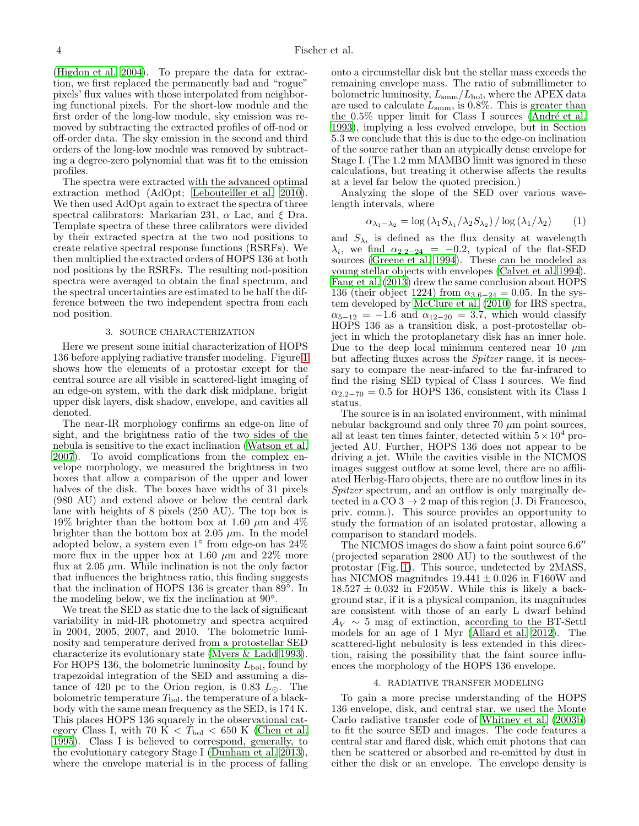[\(Higdon et al. 2004](#page-11-27)). To prepare the data for extraction, we first replaced the permanently bad and "rogue" pixels' flux values with those interpolated from neighboring functional pixels. For the short-low module and the first order of the long-low module, sky emission was removed by subtracting the extracted profiles of off-nod or off-order data. The sky emission in the second and third orders of the long-low module was removed by subtracting a degree-zero polynomial that was fit to the emission profiles.

The spectra were extracted with the advanced optimal extraction method (AdOpt; [Lebouteiller et al. 2010\)](#page-11-28). We then used AdOpt again to extract the spectra of three spectral calibrators: Markarian 231,  $\alpha$  Lac, and  $\xi$  Dra. Template spectra of these three calibrators were divided by their extracted spectra at the two nod positions to create relative spectral response functions (RSRFs). We then multiplied the extracted orders of HOPS 136 at both nod positions by the RSRFs. The resulting nod-position spectra were averaged to obtain the final spectrum, and the spectral uncertainties are estimated to be half the difference between the two independent spectra from each nod position.

### 3. SOURCE CHARACTERIZATION

<span id="page-3-0"></span>Here we present some initial characterization of HOPS 136 before applying radiative transfer modeling. Figure [1](#page-1-0) shows how the elements of a protostar except for the central source are all visible in scattered-light imaging of an edge-on system, with the dark disk midplane, bright upper disk layers, disk shadow, envelope, and cavities all denoted.

The near-IR morphology confirms an edge-on line of sight, and the brightness ratio of the two sides of the nebula is sensitive to the exact inclination [\(Watson et al.](#page-11-0) [2007\)](#page-11-0). To avoid complications from the complex envelope morphology, we measured the brightness in two boxes that allow a comparison of the upper and lower halves of the disk. The boxes have widths of 31 pixels (980 AU) and extend above or below the central dark lane with heights of 8 pixels (250 AU). The top box is 19% brighter than the bottom box at 1.60  $\mu$ m and 4% brighter than the bottom box at 2.05  $\mu$ m. In the model adopted below, a system even 1◦ from edge-on has 24% more flux in the upper box at 1.60  $\mu$ m and 22% more flux at  $2.05 \mu m$ . While inclination is not the only factor that influences the brightness ratio, this finding suggests that the inclination of HOPS 136 is greater than  $89^\circ$ . In the modeling below, we fix the inclination at 90◦ .

We treat the SED as static due to the lack of significant variability in mid-IR photometry and spectra acquired in 2004, 2005, 2007, and 2010. The bolometric luminosity and temperature derived from a protostellar SED characterize its evolutionary state [\(Myers & Ladd 1993\)](#page-11-29). For HOPS 136, the bolometric luminosity  $L_{\text{bol}}$ , found by trapezoidal integration of the SED and assuming a distance of 420 pc to the Orion region, is 0.83  $L_{\odot}$ . The bolometric temperature  $T_{\text{bol}}$ , the temperature of a blackbody with the same mean frequency as the SED, is 174 K. This places HOPS 136 squarely in the observational category Class I, with 70  $\dot{K} < T_{bol} < 650$  K [\(Chen et al.](#page-10-11) [1995\)](#page-10-11). Class I is believed to correspond, generally, to the evolutionary category Stage I [\(Dunham et al. 2013\)](#page-10-12), where the envelope material is in the process of falling onto a circumstellar disk but the stellar mass exceeds the remaining envelope mass. The ratio of submillimeter to bolometric luminosity,  $L_{\text{smm}}/L_{\text{bol}}$ , where the APEX data are used to calculate  $L_{\text{smm}}$ , is 0.8%. This is greater than the  $0.5\%$  upper limit for Class I sources (André et al. [1993\)](#page-10-13), implying a less evolved envelope, but in Section 5.3 we conclude that this is due to the edge-on inclination of the source rather than an atypically dense envelope for Stage I. (The 1.2 mm MAMBO limit was ignored in these calculations, but treating it otherwise affects the results at a level far below the quoted precision.)

Analyzing the slope of the SED over various wavelength intervals, where

$$
\alpha_{\lambda_1 - \lambda_2} = \log \left( \lambda_1 S_{\lambda_1} / \lambda_2 S_{\lambda_2} \right) / \log \left( \lambda_1 / \lambda_2 \right) \tag{1}
$$

and  $S_{\lambda_i}$  is defined as the flux density at wavelength  $\lambda_i$ , we find  $\alpha_{2.2-24} = -0.2$ , typical of the flat-SED sources [\(Greene et al. 1994\)](#page-11-30). These can be modeled as young stellar objects with envelopes [\(Calvet et al. 1994](#page-10-14)). [Fang et al. \(2013](#page-10-4)) drew the same conclusion about HOPS 136 (their object 1224) from  $\alpha_{3.6-24} = 0.05$ . In the system developed by [McClure et al. \(2010\)](#page-11-31) for IRS spectra,  $\alpha_{5-12} = -1.6$  and  $\alpha_{12-20} = 3.7$ , which would classify HOPS 136 as a transition disk, a post-protostellar object in which the protoplanetary disk has an inner hole. Due to the deep local minimum centered near 10  $\mu$ m but affecting fluxes across the Spitzer range, it is necessary to compare the near-infared to the far-infrared to find the rising SED typical of Class I sources. We find  $\alpha_{2,2-70} = 0.5$  for HOPS 136, consistent with its Class I status.

The source is in an isolated environment, with minimal nebular background and only three  $70 \mu m$  point sources, all at least ten times fainter, detected within  $5 \times 10^4$  projected AU. Further, HOPS 136 does not appear to be driving a jet. While the cavities visible in the NICMOS images suggest outflow at some level, there are no affiliated Herbig-Haro objects, there are no outflow lines in its Spitzer spectrum, and an outflow is only marginally detected in a CO  $3 \rightarrow 2$  map of this region (J. Di Francesco, priv. comm.). This source provides an opportunity to study the formation of an isolated protostar, allowing a comparison to standard models.

The NICMOS images do show a faint point source 6.6′′ (projected separation 2800 AU) to the southwest of the protostar (Fig. [1\)](#page-1-0). This source, undetected by 2MASS, has NICMOS magnitudes  $19.441 \pm 0.026$  in F160W and  $18.527 \pm 0.032$  in F205W. While this is likely a background star, if it is a physical companion, its magnitudes are consistent with those of an early L dwarf behind  $A_V \sim 5$  mag of extinction, according to the BT-Settl models for an age of 1 Myr [\(Allard et al. 2012\)](#page-10-15). The scattered-light nebulosity is less extended in this direction, raising the possibility that the faint source influences the morphology of the HOPS 136 envelope.

# 4. RADIATIVE TRANSFER MODELING

To gain a more precise understanding of the HOPS 136 envelope, disk, and central star, we used the Monte Carlo radiative transfer code of [Whitney et al. \(2003b](#page-11-12)) to fit the source SED and images. The code features a central star and flared disk, which emit photons that can then be scattered or absorbed and re-emitted by dust in either the disk or an envelope. The envelope density is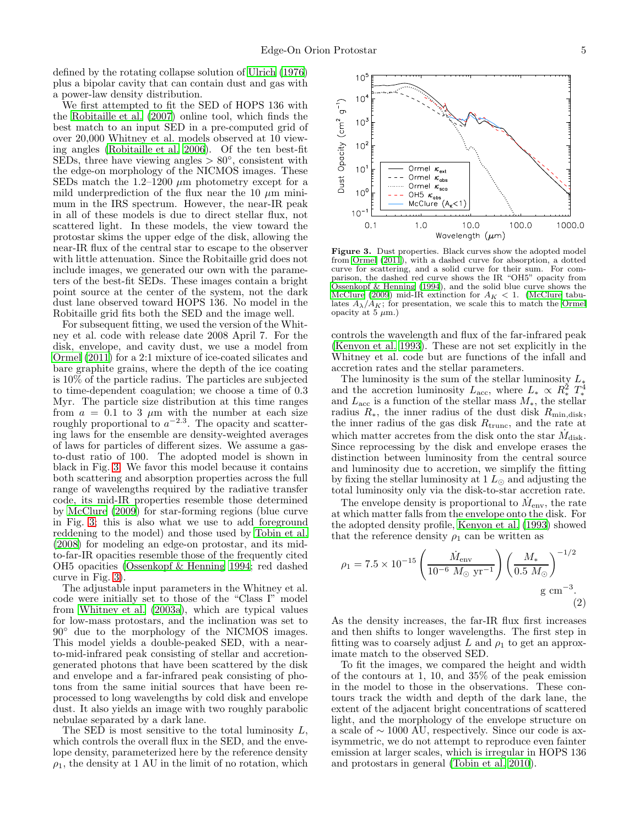defined by the rotating collapse solution of [Ulrich \(1976](#page-11-32)) plus a bipolar cavity that can contain dust and gas with a power-law density distribution.

We first attempted to fit the SED of HOPS 136 with the [Robitaille et al. \(2007\)](#page-11-33) online tool, which finds the best match to an input SED in a pre-computed grid of over 20,000 Whitney et al. models observed at 10 viewing angles [\(Robitaille et al. 2006\)](#page-11-34). Of the ten best-fit SEDs, three have viewing angles  $> 80^{\circ}$ , consistent with the edge-on morphology of the NICMOS images. These SEDs match the 1.2–1200  $\mu$ m photometry except for a mild underprediction of the flux near the 10  $\mu$ m minimum in the IRS spectrum. However, the near-IR peak in all of these models is due to direct stellar flux, not scattered light. In these models, the view toward the protostar skims the upper edge of the disk, allowing the near-IR flux of the central star to escape to the observer with little attenuation. Since the Robitaille grid does not include images, we generated our own with the parameters of the best-fit SEDs. These images contain a bright point source at the center of the system, not the dark dust lane observed toward HOPS 136. No model in the Robitaille grid fits both the SED and the image well.

For subsequent fitting, we used the version of the Whitney et al. code with release date 2008 April 7. For the disk, envelope, and cavity dust, we use a model from [Ormel \(2011\)](#page-11-35) for a 2:1 mixture of ice-coated silicates and bare graphite grains, where the depth of the ice coating is 10% of the particle radius. The particles are subjected to time-dependent coagulation; we choose a time of 0.3 Myr. The particle size distribution at this time ranges from  $a = 0.1$  to 3  $\mu$ m with the number at each size roughly proportional to  $a^{-2.3}$ . The opacity and scattering laws for the ensemble are density-weighted averages of laws for particles of different sizes. We assume a gasto-dust ratio of 100. The adopted model is shown in black in Fig. [3.](#page-4-0) We favor this model because it contains both scattering and absorption properties across the full range of wavelengths required by the radiative transfer code, its mid-IR properties resemble those determined by [McClure \(2009](#page-11-36)) for star-forming regions (blue curve in Fig. [3;](#page-4-0) this is also what we use to add foreground reddening to the model) and those used by [Tobin et al.](#page-11-2) [\(2008\)](#page-11-2) for modeling an edge-on protostar, and its midto-far-IR opacities resemble those of the frequently cited OH5 opacities [\(Ossenkopf & Henning 1994;](#page-11-37) red dashed curve in Fig. [3\)](#page-4-0).

The adjustable input parameters in the Whitney et al. code were initially set to those of the "Class I" model from [Whitney et al. \(2003a](#page-11-13)), which are typical values for low-mass protostars, and the inclination was set to 90◦ due to the morphology of the NICMOS images. This model yields a double-peaked SED, with a nearto-mid-infrared peak consisting of stellar and accretiongenerated photons that have been scattered by the disk and envelope and a far-infrared peak consisting of photons from the same initial sources that have been reprocessed to long wavelengths by cold disk and envelope dust. It also yields an image with two roughly parabolic nebulae separated by a dark lane.

The SED is most sensitive to the total luminosity  $L$ , which controls the overall flux in the SED, and the envelope density, parameterized here by the reference density  $\rho_1$ , the density at 1 AU in the limit of no rotation, which



<span id="page-4-0"></span>Figure 3. Dust properties. Black curves show the adopted model from [Ormel \(2011](#page-11-35)), with a dashed curve for absorption, a dotted curve for scattering, and a solid curve for their sum. For comparison, the dashed red curve shows the IR "OH5" opacity from [Ossenkopf & Henning \(1994\)](#page-11-37), and the solid blue curve shows the [McClure \(2009](#page-11-36)) mid-IR extinction for  $A_K < 1$ . [\(McClure](#page-11-36) tabulates  $A_{\lambda}/A_K$ ; for presentation, we scale this to match the [Ormel](#page-11-35) opacity at 5  $\mu$ m.)

controls the wavelength and flux of the far-infrared peak [\(Kenyon et al. 1993](#page-11-38)). These are not set explicitly in the Whitney et al. code but are functions of the infall and accretion rates and the stellar parameters.

The luminosity is the sum of the stellar luminosity  $L_*$ and the accretion luminosity  $L_{\text{acc}}$ , where  $L_* \propto R_*^2 T_*^4$ and  $L<sub>acc</sub>$  is a function of the stellar mass  $M_*$ , the stellar radius  $R_{\ast}$ , the inner radius of the dust disk  $R_{\min,disk}$ , the inner radius of the gas disk  $R_{\text{trunc}}$ , and the rate at which matter accretes from the disk onto the star  $\dot{M}_{\rm disk}.$ Since reprocessing by the disk and envelope erases the distinction between luminosity from the central source and luminosity due to accretion, we simplify the fitting by fixing the stellar luminosity at  $1 L_{\odot}$  and adjusting the total luminosity only via the disk-to-star accretion rate.

The envelope density is proportional to  $\dot{M}_{\rm env}$ , the rate at which matter falls from the envelope onto the disk. For the adopted density profile, [Kenyon et al. \(1993](#page-11-38)) showed that the reference density  $\rho_1$  can be written as

<span id="page-4-1"></span>
$$
\rho_1 = 7.5 \times 10^{-15} \left( \frac{\dot{M}_{\rm env}}{10^{-6} M_{\odot} \text{ yr}^{-1}} \right) \left( \frac{M_*}{0.5 M_{\odot}} \right)^{-1/2} \text{g cm}^{-3}.
$$
\n(2)

As the density increases, the far-IR flux first increases and then shifts to longer wavelengths. The first step in fitting was to coarsely adjust L and  $\rho_1$  to get an approximate match to the observed SED.

To fit the images, we compared the height and width of the contours at 1, 10, and 35% of the peak emission in the model to those in the observations. These contours track the width and depth of the dark lane, the extent of the adjacent bright concentrations of scattered light, and the morphology of the envelope structure on a scale of ∼ 1000 AU, respectively. Since our code is axisymmetric, we do not attempt to reproduce even fainter emission at larger scales, which is irregular in HOPS 136 and protostars in general [\(Tobin et al. 2010\)](#page-11-39).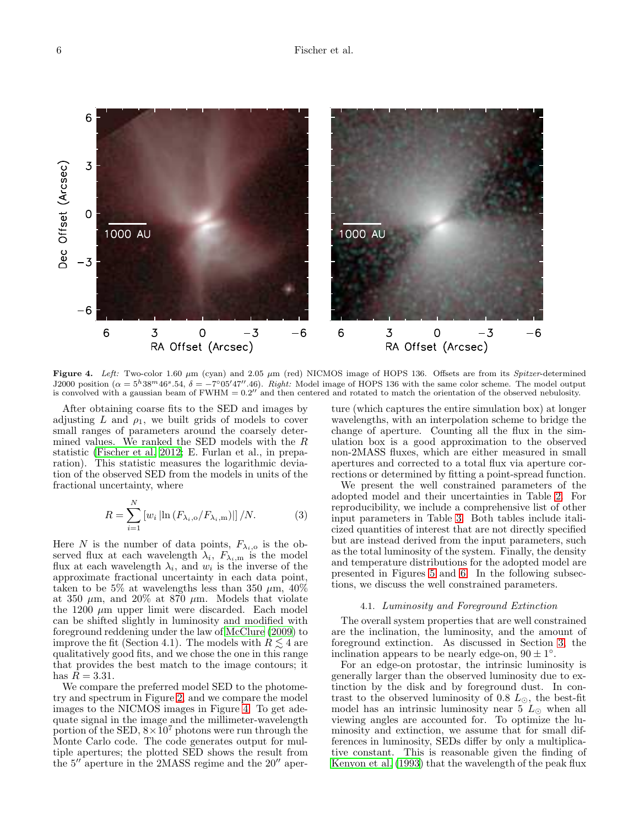

<span id="page-5-0"></span>Figure 4. Left: Two-color 1.60  $\mu$ m (cyan) and 2.05  $\mu$ m (red) NICMOS image of HOPS 136. Offsets are from its Spitzer-determined J2000 position  $(\alpha = 5^h38^m46^s.54, \delta = -7^\circ05'47''.46)$ . Right: Model image of HOPS 136 with the same color scheme. The model output is convolved with a gaussian beam of  $FWHM = 0.2''$  and then centered and rotated to match the orientation of the observed nebulosity.

After obtaining coarse fits to the SED and images by adjusting L and  $\rho_1$ , we built grids of models to cover small ranges of parameters around the coarsely determined values. We ranked the SED models with the R statistic [\(Fischer et al. 2012;](#page-10-10) E. Furlan et al., in preparation). This statistic measures the logarithmic deviation of the observed SED from the models in units of the fractional uncertainty, where

$$
R = \sum_{i=1}^{N} \left[ w_i \left[ \ln \left( F_{\lambda_i, \text{o}} / F_{\lambda_i, \text{m}} \right) \right] \right] / N. \tag{3}
$$

Here N is the number of data points,  $F_{\lambda_i,0}$  is the observed flux at each wavelength  $\lambda_i$ ,  $F_{\lambda_i,m}$  is the model flux at each wavelength  $\lambda_i$ , and  $w_i$  is the inverse of the approximate fractional uncertainty in each data point, taken to be 5% at wavelengths less than 350  $\mu$ m, 40% at 350  $\mu$ m, and 20% at 870  $\mu$ m. Models that violate the 1200  $\mu$ m upper limit were discarded. Each model can be shifted slightly in luminosity and modified with foreground reddening under the law of [McClure \(2009\)](#page-11-36) to improve the fit (Section 4.1). The models with  $R \leq 4$  are qualitatively good fits, and we chose the one in this range that provides the best match to the image contours; it has  $R = 3.31$ .

We compare the preferred model SED to the photometry and spectrum in Figure [2,](#page-2-1) and we compare the model images to the NICMOS images in Figure [4.](#page-5-0) To get adequate signal in the image and the millimeter-wavelength portion of the SED,  $8 \times 10^7$  photons were run through the Monte Carlo code. The code generates output for multiple apertures; the plotted SED shows the result from the 5′′ aperture in the 2MASS regime and the 20′′ aperture (which captures the entire simulation box) at longer wavelengths, with an interpolation scheme to bridge the change of aperture. Counting all the flux in the simulation box is a good approximation to the observed non-2MASS fluxes, which are either measured in small apertures and corrected to a total flux via aperture corrections or determined by fitting a point-spread function.

We present the well constrained parameters of the adopted model and their uncertainties in Table [2.](#page-6-0) For reproducibility, we include a comprehensive list of other input parameters in Table [3.](#page-6-1) Both tables include italicized quantities of interest that are not directly specified but are instead derived from the input parameters, such as the total luminosity of the system. Finally, the density and temperature distributions for the adopted model are presented in Figures [5](#page-7-0) and [6.](#page-7-1) In the following subsections, we discuss the well constrained parameters.

#### 4.1. Luminosity and Foreground Extinction

The overall system properties that are well constrained are the inclination, the luminosity, and the amount of foreground extinction. As discussed in Section [3,](#page-3-0) the inclination appears to be nearly edge-on,  $90 \pm 1^{\circ}$ .

For an edge-on protostar, the intrinsic luminosity is generally larger than the observed luminosity due to extinction by the disk and by foreground dust. In contrast to the observed luminosity of 0.8  $L_{\odot}$ , the best-fit model has an intrinsic luminosity near 5  $L_{\odot}$  when all viewing angles are accounted for. To optimize the luminosity and extinction, we assume that for small differences in luminosity, SEDs differ by only a multiplicative constant. This is reasonable given the finding of [Kenyon et al. \(1993](#page-11-38)) that the wavelength of the peak flux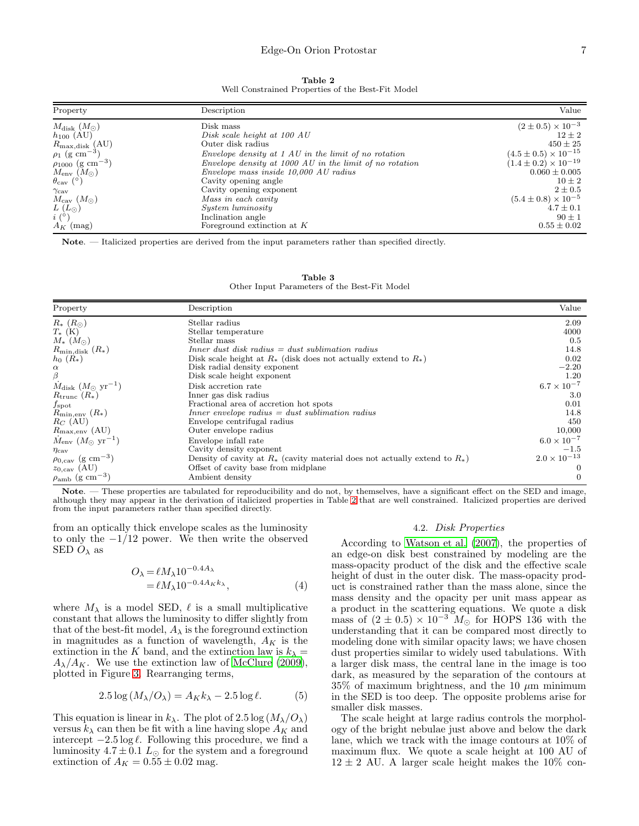## Edge-On Orion Protostar 7

Table 2 Well Constrained Properties of the Best-Fit Model

<span id="page-6-0"></span>

| Property                            | Description                                               | Value                           |
|-------------------------------------|-----------------------------------------------------------|---------------------------------|
| $M_{\rm disk}~(M_{\odot})$          | Disk mass                                                 | $(2 \pm 0.5) \times 10^{-3}$    |
| $h_{100}$ (AU)                      | Disk scale height at 100 AU                               | $12 \pm 2$                      |
| $R_{\text{max,disk}}$ (AU)          | Outer disk radius                                         | $450 \pm 25$                    |
| $\rho_1$ (g cm <sup>-3</sup> )      | $Envelope$ density at 1 AU in the limit of no rotation    | $(4.5 \pm 0.5) \times 10^{-15}$ |
| $\rho_{1000}$ (g cm <sup>-3</sup> ) | $Envelope$ density at 1000 AU in the limit of no rotation | $(1.4 \pm 0.2) \times 10^{-19}$ |
| $M_{\rm env}~(M_{\odot})$           | Envelope mass inside 10,000 AU radius                     | $0.060 \pm 0.005$               |
| $\theta_{\rm cav}$ (°)              | Cavity opening angle                                      | $10 \pm 2$                      |
| $\gamma_{\rm cav}$                  | Cavity opening exponent                                   | $2\pm0.5$                       |
| $M_{\rm cav}~(M_{\odot})$           | Mass in each cavity                                       | $(5.4 \pm 0.8) \times 10^{-5}$  |
| $L(L_{\odot})$                      | <i>System luminosity</i>                                  | $4.7 \pm 0.1$                   |
| $i\ (^\circ)$                       | Inclination angle                                         | $90 \pm 1$                      |
| $A_K$ (mag)                         | Foreground extinction at $K$                              | $0.55 \pm 0.02$                 |

<span id="page-6-1"></span>Note. — Italicized properties are derived from the input parameters rather than specified directly.

Table 3 Other Input Parameters of the Best-Fit Model

| Property                                       | Description                                                                     | Value                 |
|------------------------------------------------|---------------------------------------------------------------------------------|-----------------------|
| $R_{*}$ $(R_{\odot})$                          | Stellar radius                                                                  | 2.09                  |
| $T_{*}$ (K)                                    | Stellar temperature                                                             | 4000                  |
| $M_* (M_{\odot})$                              | Stellar mass                                                                    | 0.5                   |
| $R_{\text{min,disk}}(R_*)$                     | $Inner$ dust disk radius $=$ dust sublimation radius                            | 14.8                  |
| $h_0(R_*)$                                     | Disk scale height at $R_*$ (disk does not actually extend to $R_*$ )            | 0.02                  |
| $\alpha$                                       | Disk radial density exponent                                                    | $-2.20$               |
| β                                              | Disk scale height exponent                                                      | 1.20                  |
| $M_{\rm disk}$ $(M_{\odot}$ yr <sup>-1</sup> ) | Disk accretion rate                                                             | $6.7 \times 10^{-7}$  |
| $R_{\text{trunc}}\left(R_{*}\right)$           | Inner gas disk radius                                                           | 3.0                   |
| $f_{\rm spot}$                                 | Fractional area of accretion hot spots                                          | 0.01                  |
| $R_{\text{min,env}}(R_*)$                      | $Inner\,\,envelope\,\,radius = dust\,\,sublimation\,\,radius$                   | 14.8                  |
| $R_C$ (AU)                                     | Envelope centrifugal radius                                                     | 450                   |
| $R_{\text{max,env}}$ (AU)                      | Outer envelope radius                                                           | 10,000                |
| $M_{\rm env}$ $(M_{\odot}$ yr <sup>-1</sup> )  | Envelope infall rate                                                            | $6.0 \times 10^{-7}$  |
| $\eta_{\rm cav}$                               | Cavity density exponent                                                         | $-1.5$                |
| $\rho_{0,\text{cav}}$ (g cm <sup>-3</sup> )    | Density of cavity at $R_*$ (cavity material does not actually extend to $R_*$ ) | $2.0 \times 10^{-13}$ |
| $z_{0,\text{cav}}$ (AU)                        | Offset of cavity base from midplane                                             |                       |
| $\rho_{\rm amb}$ (g cm <sup>-3</sup> )         | Ambient density                                                                 | $\Omega$              |

Note. — These properties are tabulated for reproducibility and do not, by themselves, have a significant effect on the SED and image, although they may appear in the derivation of italicized properties in Table [2](#page-6-0) that are well constrained. Italicized properties are derived from the input parameters rather than specified directly.

from an optically thick envelope scales as the luminosity to only the  $-1/12$  power. We then write the observed SED  $O_{\lambda}$  as

$$
O_{\lambda} = \ell M_{\lambda} 10^{-0.4A_{\lambda}}
$$
  
=  $\ell M_{\lambda} 10^{-0.4A_{K}k_{\lambda}}$ , (4)

where  $M_{\lambda}$  is a model SED,  $\ell$  is a small multiplicative constant that allows the luminosity to differ slightly from that of the best-fit model,  $A_{\lambda}$  is the foreground extinction in magnitudes as a function of wavelength,  $A_K$  is the extinction in the K band, and the extinction law is  $k_{\lambda} =$  $A_{\lambda}/A_K$ . We use the extinction law of [McClure \(2009\)](#page-11-36), plotted in Figure [3.](#page-4-0) Rearranging terms,

$$
2.5 \log (M_{\lambda}/O_{\lambda}) = A_K k_{\lambda} - 2.5 \log \ell.
$$
 (5)

This equation is linear in  $k_{\lambda}$ . The plot of 2.5 log  $(M_{\lambda}/O_{\lambda})$ versus  $k_{\lambda}$  can then be fit with a line having slope  $A_K$  and intercept  $-2.5 \log \ell$ . Following this procedure, we find a luminosity  $4.7 \pm 0.1$   $L_{\odot}$  for the system and a foreground extinction of  $A_K = 0.55 \pm 0.02$  mag.

## 4.2. Disk Properties

According to [Watson et al. \(2007\)](#page-11-0), the properties of an edge-on disk best constrained by modeling are the mass-opacity product of the disk and the effective scale height of dust in the outer disk. The mass-opacity product is constrained rather than the mass alone, since the mass density and the opacity per unit mass appear as a product in the scattering equations. We quote a disk mass of  $(2 \pm 0.5) \times 10^{-3}$   $M_{\odot}$  for HOPS 136 with the understanding that it can be compared most directly to modeling done with similar opacity laws; we have chosen dust properties similar to widely used tabulations. With a larger disk mass, the central lane in the image is too dark, as measured by the separation of the contours at  $35\%$  of maximum brightness, and the 10  $\mu$ m minimum in the SED is too deep. The opposite problems arise for smaller disk masses.

The scale height at large radius controls the morphology of the bright nebulae just above and below the dark lane, which we track with the image contours at 10% of maximum flux. We quote a scale height at 100 AU of  $12 \pm 2$  AU. A larger scale height makes the  $10\%$  con-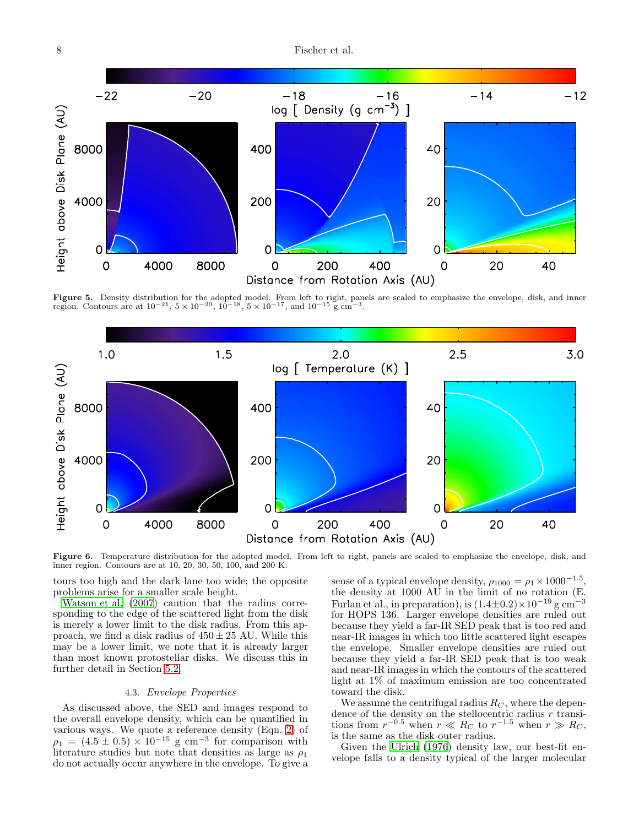



<span id="page-7-0"></span>**Figure 5.** Density distribution for the adopted model. From left to right, panels are scaled to emphasize the envelope, disk, and inner region. Contours are at  $10^{-21}$ ,  $5 \times 10^{-20}$ ,  $10^{-18}$ ,  $5 \times 10^{-17}$ , and  $10^{-15}$ 



<span id="page-7-1"></span>Figure 6. Temperature distribution for the adopted model. From left to right, panels are scaled to emphasize the envelope, disk, and inner region. Contours are at 10, 20, 30, 50, 100, and 200 K.

tours too high and the dark lane too wide; the opposite problems arise for a smaller scale height.

[Watson et al. \(2007](#page-11-0)) caution that the radius corresponding to the edge of the scattered light from the disk is merely a lower limit to the disk radius. From this approach, we find a disk radius of  $450 \pm 25$  AU. While this may be a lower limit, we note that it is already larger than most known protostellar disks. We discuss this in further detail in Section [5.2.](#page-9-0)

## 4.3. Envelope Properties

As discussed above, the SED and images respond to the overall envelope density, which can be quantified in various ways. We quote a reference density (Eqn. [2\)](#page-4-1) of  $\rho_1 = (4.5 \pm 0.5) \times 10^{-15}$  g cm<sup>-3</sup> for comparison with literature studies but note that densities as large as  $\rho_1$ do not actually occur anywhere in the envelope. To give a

sense of a typical envelope density,  $\rho_{1000} = \rho_1 \times 1000^{-1.5}$ , the density at 1000 AU in the limit of no rotation (E. Furlan et al., in preparation), is  $(1.4\pm0.2)\times10^{-19}$  g cm<sup>-3</sup> for HOPS 136. Larger envelope densities are ruled out because they yield a far-IR SED peak that is too red and near-IR images in which too little scattered light escapes the envelope. Smaller envelope densities are ruled out because they yield a far-IR SED peak that is too weak and near-IR images in which the contours of the scattered light at 1% of maximum emission are too concentrated toward the disk.

We assume the centrifugal radius  $R_C$ , where the dependence of the density on the stellocentric radius  $r$  transitions from  $r^{-0.5}$  when  $r \ll R_C$  to  $r^{-1.5}$  when  $r \gg R_C$ , is the same as the disk outer radius.

Given the [Ulrich \(1976](#page-11-32)) density law, our best-fit envelope falls to a density typical of the larger molecular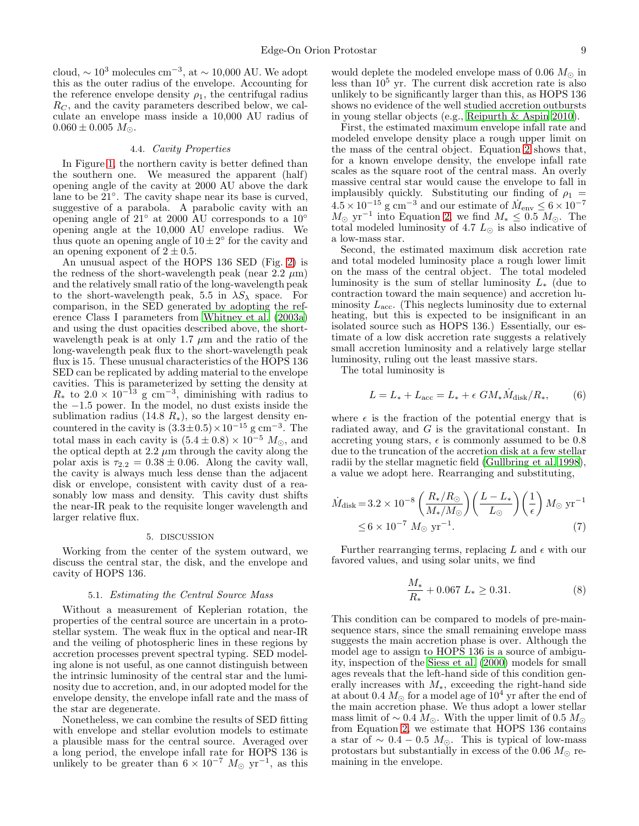cloud,  $\sim 10^3$  molecules cm<sup>-3</sup>, at  $\sim 10,000$  AU. We adopt this as the outer radius of the envelope. Accounting for the reference envelope density  $\rho_1$ , the centrifugal radius  $R_C$ , and the cavity parameters described below, we calculate an envelope mass inside a 10,000 AU radius of  $0.060 \pm 0.005$   $M_{\odot}$ .

### 4.4. Cavity Properties

In Figure [1,](#page-1-0) the northern cavity is better defined than the southern one. We measured the apparent (half) opening angle of the cavity at 2000 AU above the dark lane to be 21°. The cavity shape near its base is curved, suggestive of a parabola. A parabolic cavity with an opening angle of 21◦ at 2000 AU corresponds to a 10◦ opening angle at the 10,000 AU envelope radius. We thus quote an opening angle of  $10 \pm 2^{\circ}$  for the cavity and an opening exponent of  $2 \pm 0.5$ .

An unusual aspect of the HOPS 136 SED (Fig. [2\)](#page-2-1) is the redness of the short-wavelength peak (near  $2.2 \mu m$ ) and the relatively small ratio of the long-wavelength peak to the short-wavelength peak, 5.5 in  $\lambda S_{\lambda}$  space. For comparison, in the SED generated by adopting the reference Class I parameters from [Whitney et al. \(2003a](#page-11-13)) and using the dust opacities described above, the shortwavelength peak is at only 1.7  $\mu$ m and the ratio of the long-wavelength peak flux to the short-wavelength peak flux is 15. These unusual characteristics of the HOPS 136 SED can be replicated by adding material to the envelope cavities. This is parameterized by setting the density at  $R_*$  to  $2.0 \times 10^{-13}$  g cm<sup>-3</sup>, diminishing with radius to the −1.5 power. In the model, no dust exists inside the sublimation radius (14.8  $R_*$ ), so the largest density encountered in the cavity is  $(3.3 \pm 0.5) \times 10^{-15}$  g cm<sup>-3</sup>. The total mass in each cavity is  $(5.4 \pm 0.8) \times 10^{-5}$   $M_{\odot}$ , and the optical depth at  $2.2 \mu m$  through the cavity along the polar axis is  $\tau_{2,2} = 0.38 \pm 0.06$ . Along the cavity wall, the cavity is always much less dense than the adjacent disk or envelope, consistent with cavity dust of a reasonably low mass and density. This cavity dust shifts the near-IR peak to the requisite longer wavelength and larger relative flux.

#### 5. DISCUSSION

Working from the center of the system outward, we discuss the central star, the disk, and the envelope and cavity of HOPS 136.

# 5.1. Estimating the Central Source Mass

Without a measurement of Keplerian rotation, the properties of the central source are uncertain in a protostellar system. The weak flux in the optical and near-IR and the veiling of photospheric lines in these regions by accretion processes prevent spectral typing. SED modeling alone is not useful, as one cannot distinguish between the intrinsic luminosity of the central star and the luminosity due to accretion, and, in our adopted model for the envelope density, the envelope infall rate and the mass of the star are degenerate.

Nonetheless, we can combine the results of SED fitting with envelope and stellar evolution models to estimate a plausible mass for the central source. Averaged over a long period, the envelope infall rate for HOPS 136 is unlikely to be greater than  $6 \times 10^{-7}$   $M_{\odot}$  yr<sup>-1</sup>, as this

would deplete the modeled envelope mass of 0.06  $M_{\odot}$  in less than  $10^5$  yr. The current disk accretion rate is also unlikely to be significantly larger than this, as HOPS 136 shows no evidence of the well studied accretion outbursts in young stellar objects (e.g., [Reipurth & Aspin 2010](#page-11-40)).

First, the estimated maximum envelope infall rate and modeled envelope density place a rough upper limit on the mass of the central object. Equation [2](#page-4-1) shows that, for a known envelope density, the envelope infall rate scales as the square root of the central mass. An overly massive central star would cause the envelope to fall in implausibly quickly. Substituting our finding of  $\rho_1$  =  $4.5 \times 10^{-15}$  g cm<sup>-3</sup> and our estimate of  $\dot{M}_{\rm env} \le 6 \times 10^{-7}$  $M_{\odot}$  yr<sup>-1</sup> into Equation [2,](#page-4-1) we find  $M_{*} \leq 0.5$   $M_{\odot}$ . The total modeled luminosity of 4.7  $L_{\odot}$  is also indicative of a low-mass star.

Second, the estimated maximum disk accretion rate and total modeled luminosity place a rough lower limit on the mass of the central object. The total modeled luminosity is the sum of stellar luminosity  $L_{*}$  (due to contraction toward the main sequence) and accretion luminosity  $L_{\text{acc}}$ . (This neglects luminosity due to external heating, but this is expected to be insignificant in an isolated source such as HOPS 136.) Essentially, our estimate of a low disk accretion rate suggests a relatively small accretion luminosity and a relatively large stellar luminosity, ruling out the least massive stars.

The total luminosity is

$$
L = L_* + L_{\text{acc}} = L_* + \epsilon \ G M_* \dot{M}_{\text{disk}} / R_*, \tag{6}
$$

where  $\epsilon$  is the fraction of the potential energy that is radiated away, and G is the gravitational constant. In accreting young stars,  $\epsilon$  is commonly assumed to be 0.8 due to the truncation of the accretion disk at a few stellar radii by the stellar magnetic field [\(Gullbring et al. 1998](#page-11-41)), a value we adopt here. Rearranging and substituting,

$$
\dot{M}_{\text{disk}} = 3.2 \times 10^{-8} \left( \frac{R_{*}/R_{\odot}}{M_{*}/M_{\odot}} \right) \left( \frac{L - L_{*}}{L_{\odot}} \right) \left( \frac{1}{\epsilon} \right) M_{\odot} \text{ yr}^{-1} \\
\leq 6 \times 10^{-7} M_{\odot} \text{ yr}^{-1}.\n\tag{7}
$$

Further rearranging terms, replacing L and  $\epsilon$  with our favored values, and using solar units, we find

$$
\frac{M_*}{R_*} + 0.067 \ L_* \ge 0.31. \tag{8}
$$

This condition can be compared to models of pre-mainsequence stars, since the small remaining envelope mass suggests the main accretion phase is over. Although the model age to assign to HOPS 136 is a source of ambiguity, inspection of the [Siess et al. \(2000](#page-11-42)) models for small ages reveals that the left-hand side of this condition generally increases with  $M_*$ , exceeding the right-hand side at about 0.4  $M_{\odot}$  for a model age of  $10^4$  yr after the end of the main accretion phase. We thus adopt a lower stellar mass limit of  $\sim 0.4 M_{\odot}$ . With the upper limit of 0.5  $M_{\odot}$ from Equation [2,](#page-4-1) we estimate that HOPS 136 contains a star of  $\sim 0.4 - 0.5$   $M_{\odot}$ . This is typical of low-mass protostars but substantially in excess of the 0.06  $M_{\odot}$  remaining in the envelope.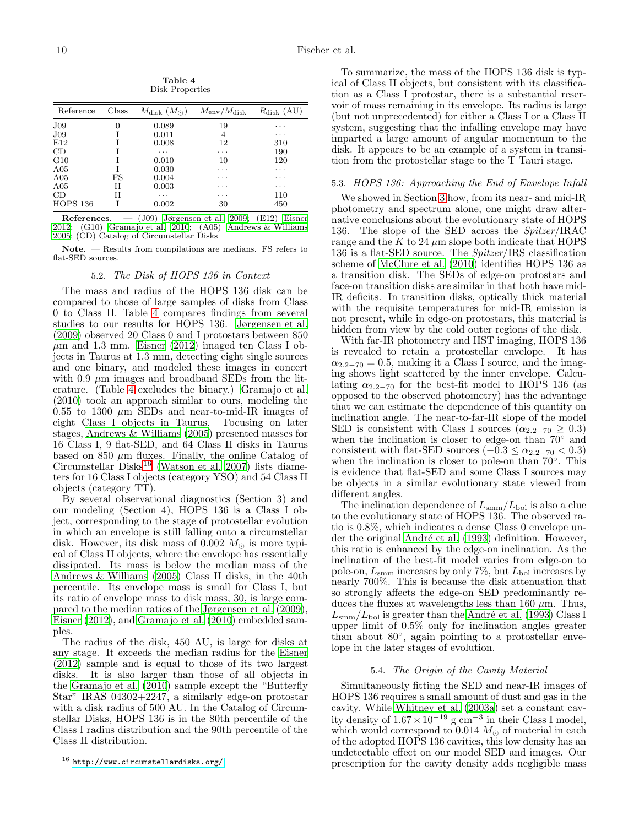Table 4 Disk Properties

<span id="page-9-1"></span>

| Reference       | Class    | $M_{\rm disk}~(M_{\odot})$ | $M_{\rm env}/M_{\rm disk}$ | $R_{\rm disk}$ (AU) |
|-----------------|----------|----------------------------|----------------------------|---------------------|
| J <sub>09</sub> | $\theta$ | 0.089                      | 19                         | $\cdots$            |
| J <sub>09</sub> |          | 0.011                      | 4                          | .                   |
| E12             |          | 0.008                      | 12                         | 310                 |
| CD              |          | $\cdots$                   | $\cdots$                   | 190                 |
| G10             |          | 0.010                      | 10                         | 120                 |
| A05             |          | 0.030                      | .                          | $\cdots$            |
| A05             | FS       | 0.004                      | $\cdots$                   | .                   |
| A05             | H        | 0.003                      | $\cdots$                   | .                   |
| CD              | H        | .                          | $\cdots$                   | 110                 |
| <b>HOPS 136</b> |          | 0.002                      | 30                         | 450                 |

References. — (J09) [Jørgensen et al. 2009](#page-11-43); (E12) [Eisner](#page-10-16) [2012;](#page-10-16) (G10) [Gramajo et al. 2010](#page-10-1); (A05) [Andrews & Williams](#page-10-17) [2005;](#page-10-17) (CD) Catalog of Circumstellar Disks

<span id="page-9-0"></span>Note. — Results from compilations are medians. FS refers to flat-SED sources.

# 5.2. The Disk of HOPS 136 in Context

The mass and radius of the HOPS 136 disk can be compared to those of large samples of disks from Class 0 to Class II. Table [4](#page-9-1) compares findings from several studies to our results for HOPS 136. [Jørgensen et al.](#page-11-43) [\(2009\)](#page-11-43) observed 20 Class 0 and I protostars between 850  $\mu$ m and 1.3 mm. [Eisner \(2012\)](#page-10-16) imaged ten Class I objects in Taurus at 1.3 mm, detecting eight single sources and one binary, and modeled these images in concert with 0.9  $\mu$ m images and broadband SEDs from the literature. (Table [4](#page-9-1) excludes the binary.) [Gramajo et al.](#page-10-1) [\(2010\)](#page-10-1) took an approach similar to ours, modeling the 0.55 to 1300  $\mu$ m SEDs and near-to-mid-IR images of eight Class I objects in Taurus. Focusing on later stages, [Andrews & Williams \(2005](#page-10-17)) presented masses for 16 Class I, 9 flat-SED, and 64 Class II disks in Taurus based on 850  $\mu$ m fluxes. Finally, the online Catalog of Circumstellar Disks[16](#page-9-2) [\(Watson et al. 2007](#page-11-0)) lists diameters for 16 Class I objects (category YSO) and 54 Class II objects (category TT).

By several observational diagnostics (Section 3) and our modeling (Section 4), HOPS 136 is a Class I object, corresponding to the stage of protostellar evolution in which an envelope is still falling onto a circumstellar disk. However, its disk mass of 0.002  $M_{\odot}$  is more typical of Class II objects, where the envelope has essentially dissipated. Its mass is below the median mass of the [Andrews & Williams \(2005\)](#page-10-17) Class II disks, in the 40th percentile. Its envelope mass is small for Class I, but its ratio of envelope mass to disk mass, 30, is large compared to the median ratios of the [Jørgensen et al. \(2009\)](#page-11-43), [Eisner \(2012\)](#page-10-16), and [Gramajo et al. \(2010](#page-10-1)) embedded samples.

The radius of the disk, 450 AU, is large for disks at any stage. It exceeds the median radius for the [Eisner](#page-10-16) [\(2012\)](#page-10-16) sample and is equal to those of its two largest disks. It is also larger than those of all objects in the [Gramajo et al. \(2010\)](#page-10-1) sample except the "Butterfly Star" IRAS 04302+2247, a similarly edge-on protostar with a disk radius of 500 AU. In the Catalog of Circumstellar Disks, HOPS 136 is in the 80th percentile of the Class I radius distribution and the 90th percentile of the Class II distribution.

To summarize, the mass of the HOPS 136 disk is typical of Class II objects, but consistent with its classification as a Class I protostar, there is a substantial reservoir of mass remaining in its envelope. Its radius is large (but not unprecedented) for either a Class I or a Class II system, suggesting that the infalling envelope may have imparted a large amount of angular momentum to the disk. It appears to be an example of a system in transition from the protostellar stage to the T Tauri stage.

# 5.3. HOPS 136: Approaching the End of Envelope Infall

We showed in Section [3](#page-3-0) how, from its near- and mid-IR photometry and spectrum alone, one might draw alternative conclusions about the evolutionary state of HOPS 136. The slope of the SED across the *Spitzer*/IRAC range and the K to 24  $\mu$ m slope both indicate that HOPS 136 is a flat-SED source. The Spitzer/IRS classification scheme of [McClure et al. \(2010\)](#page-11-31) identifies HOPS 136 as a transition disk. The SEDs of edge-on protostars and face-on transition disks are similar in that both have mid-IR deficits. In transition disks, optically thick material with the requisite temperatures for mid-IR emission is not present, while in edge-on protostars, this material is hidden from view by the cold outer regions of the disk.

With far-IR photometry and HST imaging, HOPS 136 is revealed to retain a protostellar envelope. It has  $\alpha_{2,2-70} = 0.5$ , making it a Class I source, and the imaging shows light scattered by the inner envelope. Calculating  $\alpha_{2,2-70}$  for the best-fit model to HOPS 136 (as opposed to the observed photometry) has the advantage that we can estimate the dependence of this quantity on inclination angle. The near-to-far-IR slope of the model SED is consistent with Class I sources ( $\alpha_{2,2-70} \geq 0.3$ ) when the inclination is closer to edge-on than  $70°$  and consistent with flat-SED sources  $(-0.3 \leq \alpha_{2.2-70} < 0.3)$ when the inclination is closer to pole-on than  $70^{\circ}$ . This is evidence that flat-SED and some Class I sources may be objects in a similar evolutionary state viewed from different angles.

The inclination dependence of  $L_{\text{smm}}/L_{\text{bol}}$  is also a clue to the evolutionary state of HOPS 136. The observed ratio is 0.8%, which indicates a dense Class 0 envelope under the original André et al. (1993) definition. However, this ratio is enhanced by the edge-on inclination. As the inclination of the best-fit model varies from edge-on to pole-on,  $L_{\text{smm}}$  increases by only 7%, but  $L_{\text{bol}}$  increases by nearly 700%. This is because the disk attenuation that so strongly affects the edge-on SED predominantly reduces the fluxes at wavelengths less than 160  $\mu$ m. Thus,  $L_{\text{smm}}/L_{\text{bol}}$  is greater than the André et al. (1993) Class I upper limit of 0.5% only for inclination angles greater than about 80°, again pointing to a protostellar envelope in the later stages of evolution.

#### 5.4. The Origin of the Cavity Material

Simultaneously fitting the SED and near-IR images of HOPS 136 requires a small amount of dust and gas in the cavity. While [Whitney et al. \(2003a\)](#page-11-13) set a constant cavity density of  $1.67 \times 10^{-19}$  g cm<sup>-3</sup> in their Class I model, which would correspond to 0.014  $M_{\odot}$  of material in each of the adopted HOPS 136 cavities, this low density has an undetectable effect on our model SED and images. Our prescription for the cavity density adds negligible mass

<span id="page-9-2"></span> $^{16}$ <http://www.circumstellardisks.org/>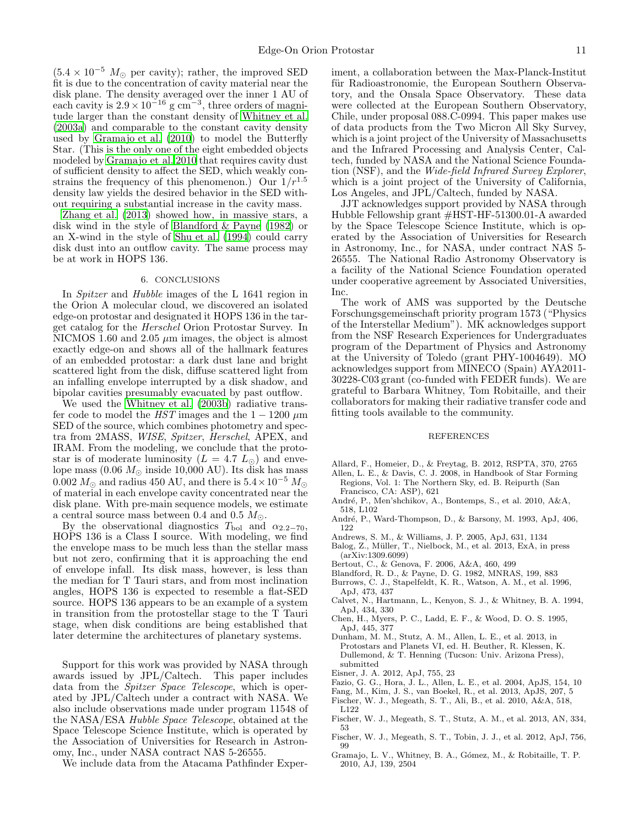$(5.4 \times 10^{-5}$  M<sub>☉</sub> per cavity); rather, the improved SED fit is due to the concentration of cavity material near the disk plane. The density averaged over the inner 1 AU of each cavity is  $2.9 \times 10^{-16}$  g cm<sup>-3</sup>, three orders of magnitude larger than the constant density of [Whitney et al.](#page-11-13) [\(2003a\)](#page-11-13) and comparable to the constant cavity density used by [Gramajo et al. \(2010](#page-10-1)) to model the Butterfly Star. (This is the only one of the eight embedded objects modeled by [Gramajo et al. 2010](#page-10-1) that requires cavity dust of sufficient density to affect the SED, which weakly constrains the frequency of this phenomenon.) Our  $1/r^{1.5}$ density law yields the desired behavior in the SED without requiring a substantial increase in the cavity mass.

[Zhang et al. \(2013\)](#page-11-44) showed how, in massive stars, a disk wind in the style of [Blandford & Payne \(1982\)](#page-10-18) or an X-wind in the style of [Shu et al. \(1994\)](#page-11-45) could carry disk dust into an outflow cavity. The same process may be at work in HOPS 136.

#### 6. CONCLUSIONS

In Spitzer and Hubble images of the L 1641 region in the Orion A molecular cloud, we discovered an isolated edge-on protostar and designated it HOPS 136 in the target catalog for the Herschel Orion Protostar Survey. In NICMOS 1.60 and 2.05  $\mu$ m images, the object is almost exactly edge-on and shows all of the hallmark features of an embedded protostar: a dark dust lane and bright scattered light from the disk, diffuse scattered light from an infalling envelope interrupted by a disk shadow, and bipolar cavities presumably evacuated by past outflow.

We used the [Whitney et al. \(2003b](#page-11-12)) radiative transfer code to model the HST images and the  $1 - 1200 \mu m$ SED of the source, which combines photometry and spectra from 2MASS, WISE, Spitzer, Herschel, APEX, and IRAM. From the modeling, we conclude that the protostar is of moderate luminosity ( $L = 4.7 L_{\odot}$ ) and envelope mass  $(0.06 M_{\odot}$  inside 10,000 AU). Its disk has mass 0.002  $M_{\odot}$  and radius 450 AU, and there is  $5.4 \times 10^{-5}$   $M_{\odot}$ of material in each envelope cavity concentrated near the disk plane. With pre-main sequence models, we estimate a central source mass between 0.4 and 0.5  $M_{\odot}$ .

By the observational diagnostics  $T_{\text{bol}}$  and  $\alpha_{2.2-70}$ , HOPS 136 is a Class I source. With modeling, we find the envelope mass to be much less than the stellar mass but not zero, confirming that it is approaching the end of envelope infall. Its disk mass, however, is less than the median for T Tauri stars, and from most inclination angles, HOPS 136 is expected to resemble a flat-SED source. HOPS 136 appears to be an example of a system in transition from the protostellar stage to the T Tauri stage, when disk conditions are being established that later determine the architectures of planetary systems.

Support for this work was provided by NASA through awards issued by JPL/Caltech. This paper includes data from the *Spitzer Space Telescope*, which is operated by JPL/Caltech under a contract with NASA. We also include observations made under program 11548 of the NASA/ESA Hubble Space Telescope, obtained at the Space Telescope Science Institute, which is operated by the Association of Universities for Research in Astronomy, Inc., under NASA contract NAS 5-26555.

We include data from the Atacama Pathfinder Exper-

iment, a collaboration between the Max-Planck-Institut für Radioastronomie, the European Southern Observatory, and the Onsala Space Observatory. These data were collected at the European Southern Observatory, Chile, under proposal 088.C-0994. This paper makes use of data products from the Two Micron All Sky Survey, which is a joint project of the University of Massachusetts and the Infrared Processing and Analysis Center, Caltech, funded by NASA and the National Science Foundation (NSF), and the Wide-field Infrared Survey Explorer, which is a joint project of the University of California, Los Angeles, and JPL/Caltech, funded by NASA.

JJT acknowledges support provided by NASA through Hubble Fellowship grant #HST-HF-51300.01-A awarded by the Space Telescope Science Institute, which is operated by the Association of Universities for Research in Astronomy, Inc., for NASA, under contract NAS 5- 26555. The National Radio Astronomy Observatory is a facility of the National Science Foundation operated under cooperative agreement by Associated Universities, Inc.

The work of AMS was supported by the Deutsche Forschungsgemeinschaft priority program 1573 ("Physics of the Interstellar Medium"). MK acknowledges support from the NSF Research Experiences for Undergraduates program of the Department of Physics and Astronomy at the University of Toledo (grant PHY-1004649). MO acknowledges support from MINECO (Spain) AYA2011- 30228-C03 grant (co-funded with FEDER funds). We are grateful to Barbara Whitney, Tom Robitaille, and their collaborators for making their radiative transfer code and fitting tools available to the community.

#### REFERENCES

- <span id="page-10-15"></span>Allard, F., Homeier, D., & Freytag, B. 2012, RSPTA, 370, 2765
- <span id="page-10-3"></span>Allen, L. E., & Davis, C. J. 2008, in Handbook of Star Forming Regions, Vol. 1: The Northern Sky, ed. B. Reipurth (San Francisco, CA: ASP), 621
- <span id="page-10-9"></span>André, P., Men'shchikov, A., Bontemps, S., et al. 2010, A&A, 518, L102
- <span id="page-10-13"></span>André, P., Ward-Thompson, D., & Barsony, M. 1993, ApJ, 406, 122
- <span id="page-10-17"></span>Andrews, S. M., & Williams, J. P. 2005, ApJ, 631, 1134
- <span id="page-10-8"></span>Balog, Z., Müller, T., Nielbock, M., et al. 2013, ExA, in press
- (arXiv:1309.6099) Bertout, C., & Genova, F. 2006, A&A, 460, 499
- <span id="page-10-2"></span>
- <span id="page-10-18"></span>Blandford, R. D., & Payne, D. G. 1982, MNRAS, 199, 883 Burrows, C. J., Stapelfeldt, K. R., Watson, A. M., et al. 1996,
- <span id="page-10-0"></span>ApJ, 473, 437
- <span id="page-10-14"></span>Calvet, N., Hartmann, L., Kenyon, S. J., & Whitney, B. A. 1994, ApJ, 434, 330
- <span id="page-10-11"></span>Chen, H., Myers, P. C., Ladd, E. F., & Wood, D. O. S. 1995, ApJ, 445, 377
- <span id="page-10-12"></span>Dunham, M. M., Stutz, A. M., Allen, L. E., et al. 2013, in Protostars and Planets VI, ed. H. Beuther, R. Klessen, K. Dullemond, & T. Henning (Tucson: Univ. Arizona Press), submitted
- <span id="page-10-16"></span>Eisner, J. A. 2012, ApJ, 755, 23
- <span id="page-10-6"></span>Fazio, G. G., Hora, J. L., Allen, L. E., et al. 2004, ApJS, 154, 10
- <span id="page-10-4"></span>Fang, M., Kim, J. S., van Boekel, R., et al. 2013, ApJS, 207, 5
- <span id="page-10-7"></span>Fischer, W. J., Megeath, S. T., Ali, B., et al. 2010, A&A, 518, L122
- <span id="page-10-5"></span>Fischer, W. J., Megeath, S. T., Stutz, A. M., et al. 2013, AN, 334, 53
- <span id="page-10-10"></span>Fischer, W. J., Megeath, S. T., Tobin, J. J., et al. 2012, ApJ, 756, 99
- <span id="page-10-1"></span>Gramajo, L. V., Whitney, B. A., Gómez, M., & Robitaille, T. P. 2010, AJ, 139, 2504